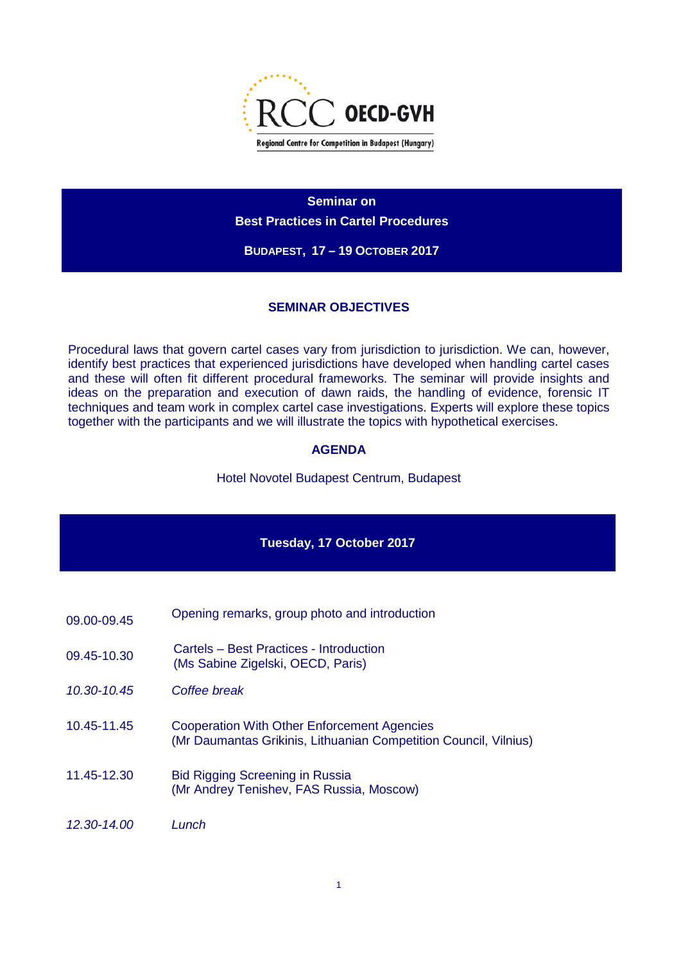

**Seminar on Best Practices in Cartel Procedures**

**BUDAPEST, 17 – 19 OCTOBER 2017**

### **SEMINAR OBJECTIVES**

Procedural laws that govern cartel cases vary from jurisdiction to jurisdiction. We can, however, identify best practices that experienced jurisdictions have developed when handling cartel cases and these will often fit different procedural frameworks. The seminar will provide insights and ideas on the preparation and execution of dawn raids, the handling of evidence, forensic IT techniques and team work in complex cartel case investigations. Experts will explore these topics together with the participants and we will illustrate the topics with hypothetical exercises.

### **AGENDA**

Hotel Novotel Budapest Centrum, Budapest

#### **Tuesday, 17 October 2017**

- 09.00-09.45 Opening remarks, group photo and introduction
- 09.45-10.30 Cartels Best Practices Introduction (Ms Sabine Zigelski, OECD, Paris)
- *10.30-10.45 Coffee break*
- 10.45-11.45 Cooperation With Other Enforcement Agencies (Mr Daumantas Grikinis, Lithuanian Competition Council, Vilnius)
- 11.45-12.30 Bid Rigging Screening in Russia (Mr Andrey Tenishev, FAS Russia, Moscow)
- *12.30-14.00 Lunch*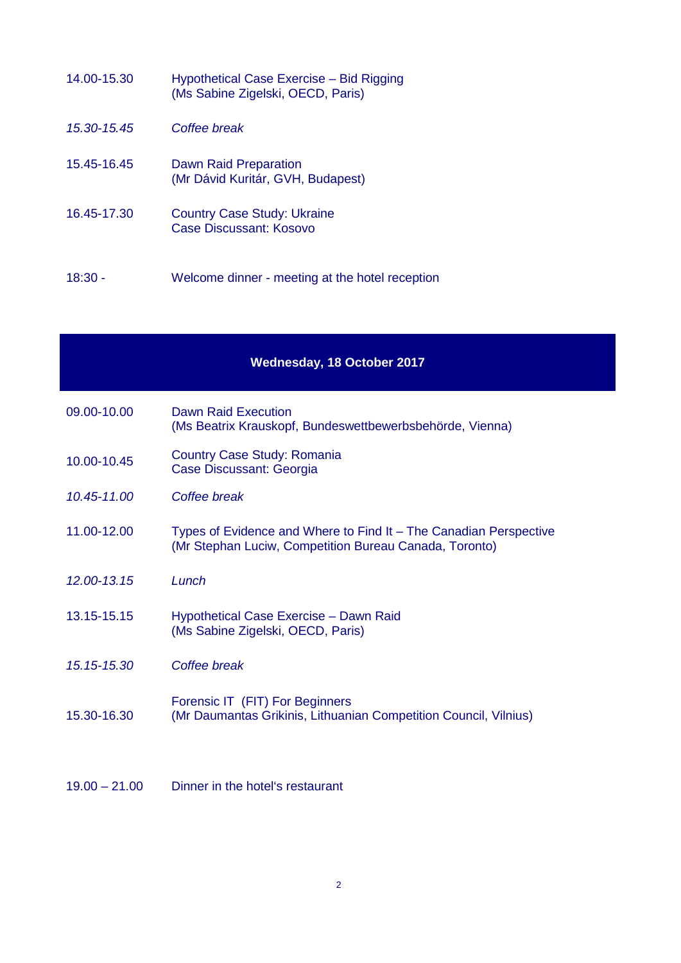| 14.00-15.30 | Hypothetical Case Exercise - Bid Rigging<br>(Ms Sabine Zigelski, OECD, Paris) |
|-------------|-------------------------------------------------------------------------------|
| 15.30-15.45 | Coffee break                                                                  |
| 15.45-16.45 | Dawn Raid Preparation<br>(Mr Dávid Kuritár, GVH, Budapest)                    |
| 16.45-17.30 | <b>Country Case Study: Ukraine</b><br>Case Discussant: Kosovo                 |
| 18:30 -     | Welcome dinner - meeting at the hotel reception                               |

## **Wednesday, 18 October 2017**

| 09.00-10.00 | Dawn Raid Execution<br>(Ms Beatrix Krauskopf, Bundeswettbewerbsbehörde, Vienna)                                             |
|-------------|-----------------------------------------------------------------------------------------------------------------------------|
| 10.00-10.45 | <b>Country Case Study: Romania</b><br>Case Discussant: Georgia                                                              |
| 10.45-11.00 | Coffee break                                                                                                                |
| 11.00-12.00 | Types of Evidence and Where to Find It - The Canadian Perspective<br>(Mr Stephan Luciw, Competition Bureau Canada, Toronto) |
| 12.00-13.15 | Lunch                                                                                                                       |
| 13.15-15.15 | Hypothetical Case Exercise - Dawn Raid<br>(Ms Sabine Zigelski, OECD, Paris)                                                 |
| 15.15-15.30 | Coffee break                                                                                                                |
| 15.30-16.30 | Forensic IT (FIT) For Beginners<br>(Mr Daumantas Grikinis, Lithuanian Competition Council, Vilnius)                         |
|             |                                                                                                                             |

# 19.00 – 21.00 Dinner in the hotel's restaurant